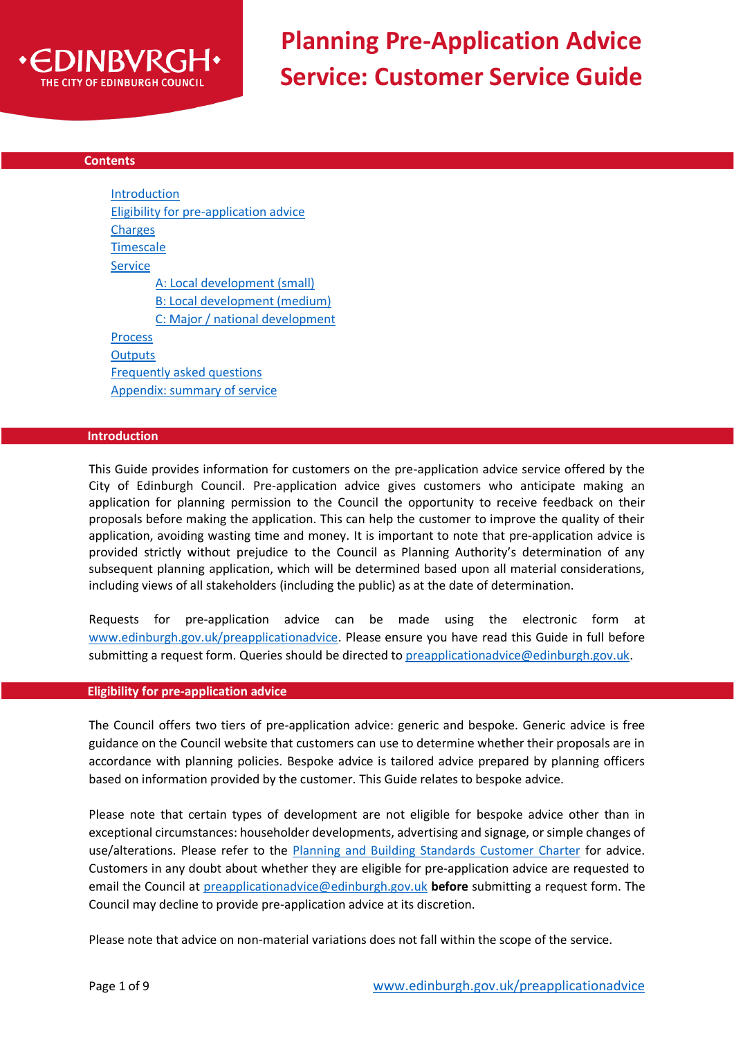

# **Contents**

[Introduction](#page-0-0) [Eligibility for pre-application advice](#page-0-1) [Charges](#page-1-0) [Timescale](#page-1-1) **[Service](#page-1-2)** [A: Local development \(small\)](#page-2-0) [B: Local development \(medium\)](#page-2-1) [C: Major / national development](#page-3-0) [Process](#page-4-0) **[Outputs](#page-4-1)** [Frequently asked questions](#page-5-0) [Appendix: summary of service](#page-8-0)

### <span id="page-0-0"></span> **Introduction**

This Guide provides information for customers on the pre-application advice service offered by the City of Edinburgh Council. Pre-application advice gives customers who anticipate making an application for planning permission to the Council the opportunity to receive feedback on their proposals before making the application. This can help the customer to improve the quality of their application, avoiding wasting time and money. It is important to note that pre-application advice is provided strictly without prejudice to the Council as Planning Authority's determination of any subsequent planning application, which will be determined based upon all material considerations, including views of all stakeholders (including the public) as at the date of determination.

Requests for pre-application advice can be made using the electronic form at [www.edinburgh.gov.uk/preapplicationadvice.](http://www.edinburgh.gov.uk/preapplicationadvice) Please ensure you have read this Guide in full before submitting a request form. Queries should be directed to [preapplicationadvice@edinburgh.gov.uk.](mailto:preapplicationadvice@edinburgh.gov.uk)

### <span id="page-0-1"></span> **Eligibility for pre-application advice**

The Council offers two tiers of pre-application advice: generic and bespoke. Generic advice is free guidance on the Council website that customers can use to determine whether their proposals are in accordance with planning policies. Bespoke advice is tailored advice prepared by planning officers based on information provided by the customer. This Guide relates to bespoke advice.

Please note that certain types of development are not eligible for bespoke advice other than in exceptional circumstances: householder developments, advertising and signage, or simple changes of use/alterations. Please refer to the [Planning and Building Standards Customer Charter](http://www.edinburgh.gov.uk/customercharter) for advice. Customers in any doubt about whether they are eligible for pre-application advice are requested to email the Council at [preapplicationadvice@edinburgh.gov.uk](mailto:preapplicationadvice@edinburgh.gov.uk) **before** submitting a request form. The Council may decline to provide pre-application advice at its discretion.

Please note that advice on non-material variations does not fall within the scope of the service.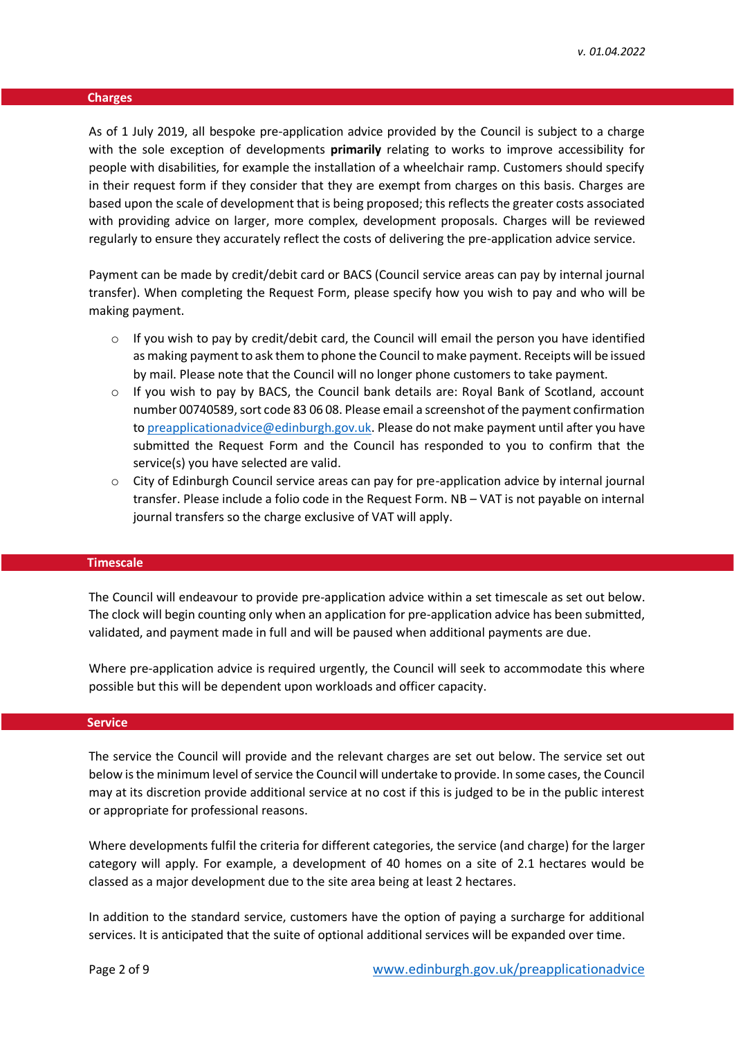# <span id="page-1-0"></span> **Charges**

As of 1 July 2019, all bespoke pre-application advice provided by the Council is subject to a charge with the sole exception of developments **primarily** relating to works to improve accessibility for people with disabilities, for example the installation of a wheelchair ramp. Customers should specify in their request form if they consider that they are exempt from charges on this basis. Charges are based upon the scale of development that is being proposed; this reflects the greater costs associated with providing advice on larger, more complex, development proposals. Charges will be reviewed regularly to ensure they accurately reflect the costs of delivering the pre-application advice service.

Payment can be made by credit/debit card or BACS (Council service areas can pay by internal journal transfer). When completing the Request Form, please specify how you wish to pay and who will be making payment.

- $\circ$  If you wish to pay by credit/debit card, the Council will email the person you have identified as making payment to ask them to phone the Council to make payment. Receipts will be issued by mail. Please note that the Council will no longer phone customers to take payment.
- $\circ$  If you wish to pay by BACS, the Council bank details are: Royal Bank of Scotland, account number 00740589, sort code 83 06 08. Please email a screenshot of the payment confirmation t[o preapplicationadvice@edinburgh.gov.uk.](mailto:preapplicationadvice@edinburgh.gov.uk) Please do not make payment until after you have submitted the Request Form and the Council has responded to you to confirm that the service(s) you have selected are valid.
- $\circ$  City of Edinburgh Council service areas can pay for pre-application advice by internal journal transfer. Please include a folio code in the Request Form. NB – VAT is not payable on internal journal transfers so the charge exclusive of VAT will apply.

### <span id="page-1-1"></span> **Timescale**

The Council will endeavour to provide pre-application advice within a set timescale as set out below. The clock will begin counting only when an application for pre-application advice has been submitted, validated, and payment made in full and will be paused when additional payments are due.

Where pre-application advice is required urgently, the Council will seek to accommodate this where possible but this will be dependent upon workloads and officer capacity.

#### <span id="page-1-2"></span> **Service**

The service the Council will provide and the relevant charges are set out below. The service set out below is the minimum level of service the Council will undertake to provide. In some cases, the Council may at its discretion provide additional service at no cost if this is judged to be in the public interest or appropriate for professional reasons.

Where developments fulfil the criteria for different categories, the service (and charge) for the larger category will apply. For example, a development of 40 homes on a site of 2.1 hectares would be classed as a major development due to the site area being at least 2 hectares.

In addition to the standard service, customers have the option of paying a surcharge for additional services. It is anticipated that the suite of optional additional services will be expanded over time.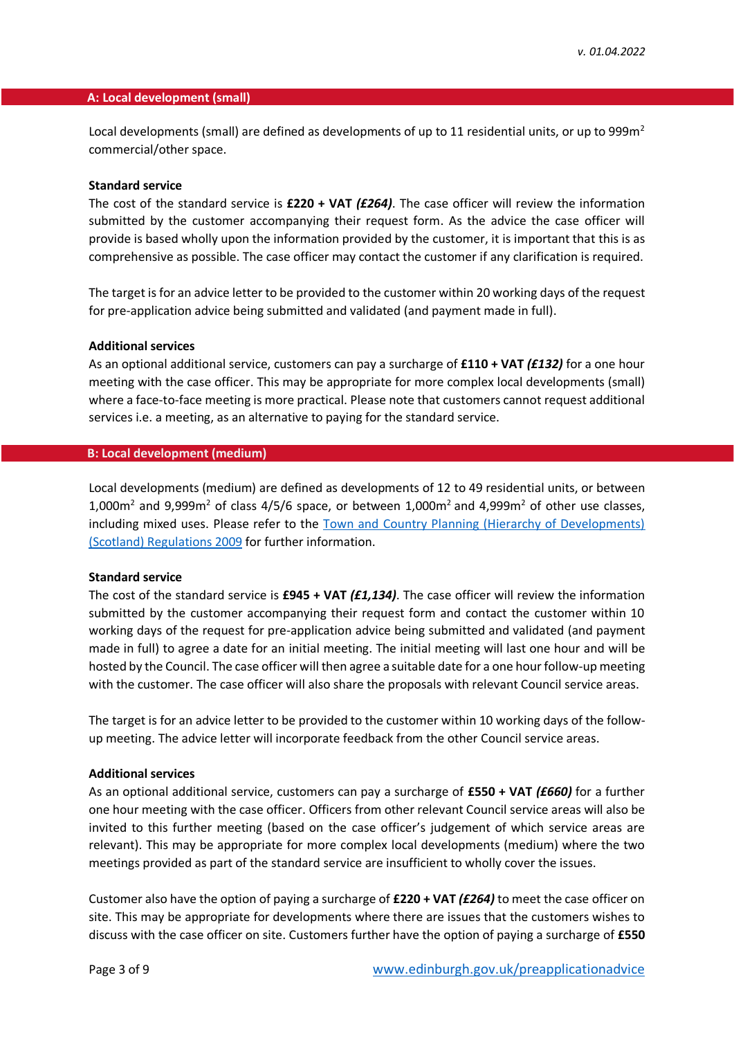## <span id="page-2-0"></span> **A: Local development (small)**

Local developments (small) are defined as developments of up to 11 residential units, or up to 999m<sup>2</sup> commercial/other space.

# **Standard service**

The cost of the standard service is **£220 + VAT** *(£264)*. The case officer will review the information submitted by the customer accompanying their request form. As the advice the case officer will provide is based wholly upon the information provided by the customer, it is important that this is as comprehensive as possible. The case officer may contact the customer if any clarification is required.

The target is for an advice letter to be provided to the customer within 20 working days of the request for pre-application advice being submitted and validated (and payment made in full).

## **Additional services**

As an optional additional service, customers can pay a surcharge of **£110 + VAT** *(£132)* for a one hour meeting with the case officer. This may be appropriate for more complex local developments (small) where a face-to-face meeting is more practical. Please note that customers cannot request additional services i.e. a meeting, as an alternative to paying for the standard service.

## <span id="page-2-1"></span> **B: Local development (medium)**

Local developments (medium) are defined as developments of 12 to 49 residential units, or between 1,000 $m^2$  and 9,999 $m^2$  of class 4/5/6 space, or between 1,000 $m^2$  and 4,999 $m^2$  of other use classes, including mixed uses. Please refer to the [Town and Country Planning \(Hierarchy of Developments\)](https://www.legislation.gov.uk/sdsi/2009/9780111001714/contents)  [\(Scotland\) Regulations 2009](https://www.legislation.gov.uk/sdsi/2009/9780111001714/contents) for further information.

#### **Standard service**

The cost of the standard service is **£945 + VAT** *(£1,134)*. The case officer will review the information submitted by the customer accompanying their request form and contact the customer within 10 working days of the request for pre-application advice being submitted and validated (and payment made in full) to agree a date for an initial meeting. The initial meeting will last one hour and will be hosted by the Council. The case officer will then agree a suitable date for a one hour follow-up meeting with the customer. The case officer will also share the proposals with relevant Council service areas.

The target is for an advice letter to be provided to the customer within 10 working days of the followup meeting. The advice letter will incorporate feedback from the other Council service areas.

### **Additional services**

As an optional additional service, customers can pay a surcharge of **£550 + VAT** *(£660)* for a further one hour meeting with the case officer. Officers from other relevant Council service areas will also be invited to this further meeting (based on the case officer's judgement of which service areas are relevant). This may be appropriate for more complex local developments (medium) where the two meetings provided as part of the standard service are insufficient to wholly cover the issues.

Customer also have the option of paying a surcharge of **£220 + VAT** *(£264)* to meet the case officer on site. This may be appropriate for developments where there are issues that the customers wishes to discuss with the case officer on site. Customers further have the option of paying a surcharge of **£550**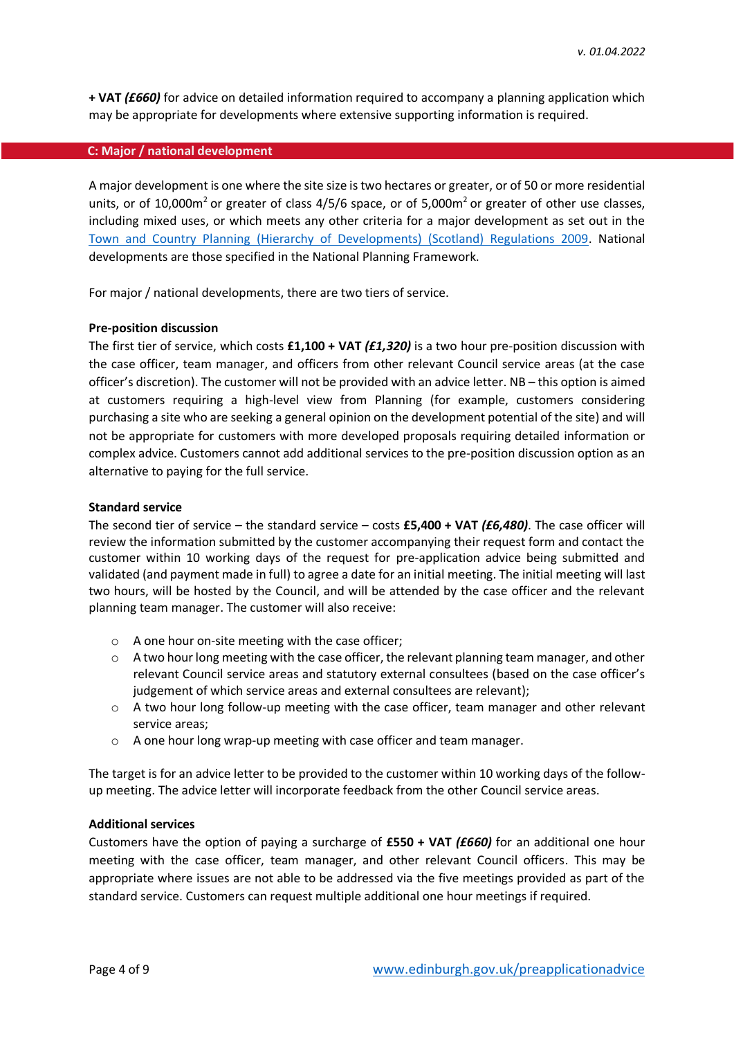**+ VAT** *(£660)* for advice on detailed information required to accompany a planning application which may be appropriate for developments where extensive supporting information is required.

## <span id="page-3-0"></span> **C: Major / national development**

A major development is one where the site size is two hectares or greater, or of 50 or more residential units, or of 10,000 $\text{m}^2$  or greater of class 4/5/6 space, or of 5,000 $\text{m}^2$  or greater of other use classes, including mixed uses, or which meets any other criteria for a major development as set out in the [Town and Country Planning \(Hierarchy of Developments\) \(Scotland\) Regulations 2009.](https://www.legislation.gov.uk/sdsi/2009/9780111001714/contents) National developments are those specified in the National Planning Framework.

For major / national developments, there are two tiers of service.

### **Pre-position discussion**

The first tier of service, which costs **£1,100 + VAT** *(£1,320)* is a two hour pre-position discussion with the case officer, team manager, and officers from other relevant Council service areas (at the case officer's discretion). The customer will not be provided with an advice letter. NB – this option is aimed at customers requiring a high-level view from Planning (for example, customers considering purchasing a site who are seeking a general opinion on the development potential of the site) and will not be appropriate for customers with more developed proposals requiring detailed information or complex advice. Customers cannot add additional services to the pre-position discussion option as an alternative to paying for the full service.

# **Standard service**

The second tier of service – the standard service – costs **£5,400 + VAT** *(£6,480)*. The case officer will review the information submitted by the customer accompanying their request form and contact the customer within 10 working days of the request for pre-application advice being submitted and validated (and payment made in full) to agree a date for an initial meeting. The initial meeting will last two hours, will be hosted by the Council, and will be attended by the case officer and the relevant planning team manager. The customer will also receive:

- o A one hour on-site meeting with the case officer;
- $\circ$  A two hour long meeting with the case officer, the relevant planning team manager, and other relevant Council service areas and statutory external consultees (based on the case officer's judgement of which service areas and external consultees are relevant);
- o A two hour long follow-up meeting with the case officer, team manager and other relevant service areas;
- o A one hour long wrap-up meeting with case officer and team manager.

The target is for an advice letter to be provided to the customer within 10 working days of the followup meeting. The advice letter will incorporate feedback from the other Council service areas.

# **Additional services**

Customers have the option of paying a surcharge of **£550 + VAT** *(£660)* for an additional one hour meeting with the case officer, team manager, and other relevant Council officers. This may be appropriate where issues are not able to be addressed via the five meetings provided as part of the standard service. Customers can request multiple additional one hour meetings if required.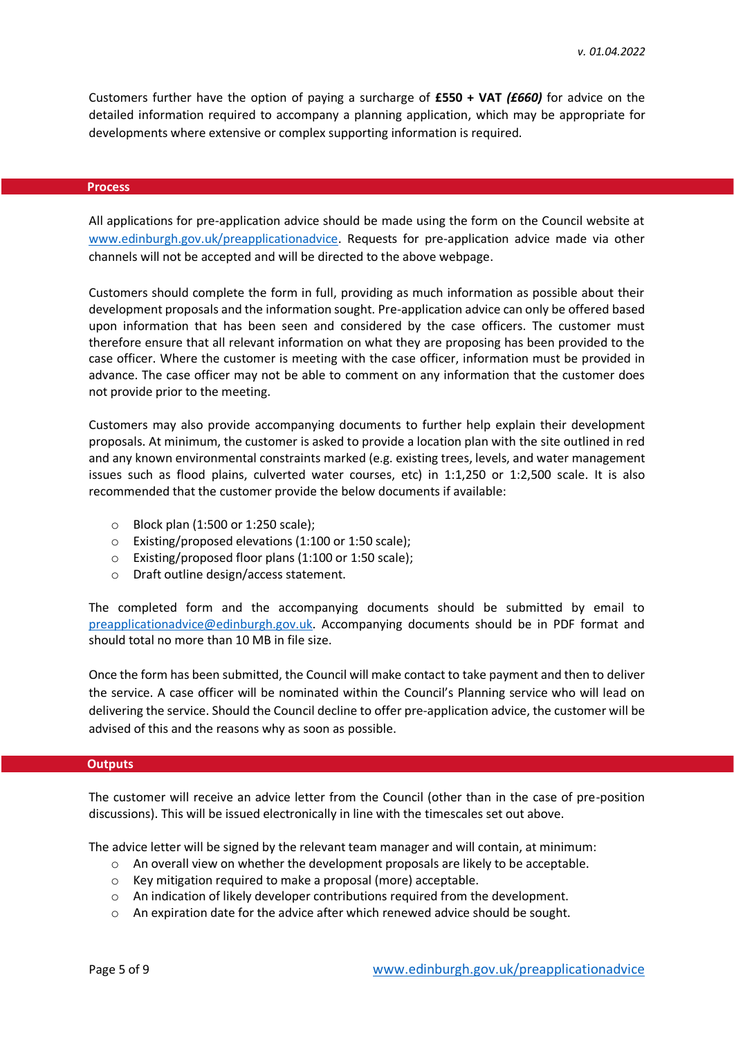Customers further have the option of paying a surcharge of **£550 + VAT** *(£660)* for advice on the detailed information required to accompany a planning application, which may be appropriate for developments where extensive or complex supporting information is required.

### <span id="page-4-0"></span> **Process**

All applications for pre-application advice should be made using the form on the Council website at [www.edinburgh.gov.uk/preapplicationadvice.](http://www.edinburgh.gov.uk/preapplicationadvice) Requests for pre-application advice made via other channels will not be accepted and will be directed to the above webpage.

Customers should complete the form in full, providing as much information as possible about their development proposals and the information sought. Pre-application advice can only be offered based upon information that has been seen and considered by the case officers. The customer must therefore ensure that all relevant information on what they are proposing has been provided to the case officer. Where the customer is meeting with the case officer, information must be provided in advance. The case officer may not be able to comment on any information that the customer does not provide prior to the meeting.

Customers may also provide accompanying documents to further help explain their development proposals. At minimum, the customer is asked to provide a location plan with the site outlined in red and any known environmental constraints marked (e.g. existing trees, levels, and water management issues such as flood plains, culverted water courses, etc) in 1:1,250 or 1:2,500 scale. It is also recommended that the customer provide the below documents if available:

- o Block plan (1:500 or 1:250 scale);
- o Existing/proposed elevations (1:100 or 1:50 scale);
- o Existing/proposed floor plans (1:100 or 1:50 scale);
- o Draft outline design/access statement.

The completed form and the accompanying documents should be submitted by email to [preapplicationadvice@edinburgh.gov.uk.](mailto:preapplicationadvice@edinburgh.gov.uk) Accompanying documents should be in PDF format and should total no more than 10 MB in file size.

Once the form has been submitted, the Council will make contact to take payment and then to deliver the service. A case officer will be nominated within the Council's Planning service who will lead on delivering the service. Should the Council decline to offer pre-application advice, the customer will be advised of this and the reasons why as soon as possible.

### <span id="page-4-1"></span> **Outputs**

The customer will receive an advice letter from the Council (other than in the case of pre-position discussions). This will be issued electronically in line with the timescales set out above.

The advice letter will be signed by the relevant team manager and will contain, at minimum:

- $\circ$  An overall view on whether the development proposals are likely to be acceptable.
- o Key mitigation required to make a proposal (more) acceptable.
- o An indication of likely developer contributions required from the development.
- $\circ$  An expiration date for the advice after which renewed advice should be sought.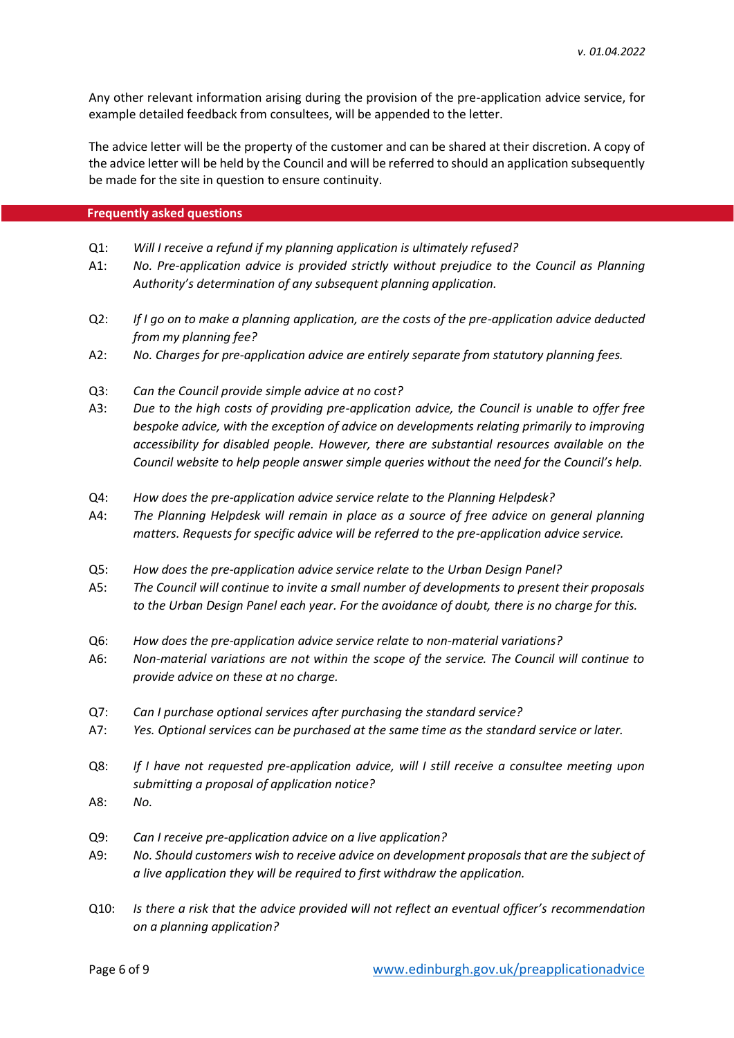Any other relevant information arising during the provision of the pre-application advice service, for example detailed feedback from consultees, will be appended to the letter.

The advice letter will be the property of the customer and can be shared at their discretion. A copy of the advice letter will be held by the Council and will be referred to should an application subsequently be made for the site in question to ensure continuity.

# <span id="page-5-0"></span> **Frequently asked questions**

- Q1: *Will I receive a refund if my planning application is ultimately refused?*
- A1: *No. Pre-application advice is provided strictly without prejudice to the Council as Planning Authority's determination of any subsequent planning application.*
- Q2: *If I go on to make a planning application, are the costs of the pre-application advice deducted from my planning fee?*
- A2: *No. Charges for pre-application advice are entirely separate from statutory planning fees.*
- Q3: *Can the Council provide simple advice at no cost?*
- A3: *Due to the high costs of providing pre-application advice, the Council is unable to offer free bespoke advice, with the exception of advice on developments relating primarily to improving accessibility for disabled people. However, there are substantial resources available on the Council website to help people answer simple queries without the need for the Council's help.*
- Q4: *How does the pre-application advice service relate to the Planning Helpdesk?*
- A4: *The Planning Helpdesk will remain in place as a source of free advice on general planning matters. Requests for specific advice will be referred to the pre-application advice service.*
- Q5: *How does the pre-application advice service relate to the Urban Design Panel?*
- A5: *The Council will continue to invite a small number of developments to present their proposals to the Urban Design Panel each year. For the avoidance of doubt, there is no charge for this.*
- Q6: *How does the pre-application advice service relate to non-material variations?*
- A6: *Non-material variations are not within the scope of the service. The Council will continue to provide advice on these at no charge.*
- Q7: *Can I purchase optional services after purchasing the standard service?*
- A7: *Yes. Optional services can be purchased at the same time as the standard service or later.*
- Q8: *If I have not requested pre-application advice, will I still receive a consultee meeting upon submitting a proposal of application notice?*
- A8: *No.*
- Q9: *Can I receive pre-application advice on a live application?*
- A9: *No. Should customers wish to receive advice on development proposals that are the subject of a live application they will be required to first withdraw the application.*
- Q10: *Is there a risk that the advice provided will not reflect an eventual officer's recommendation on a planning application?*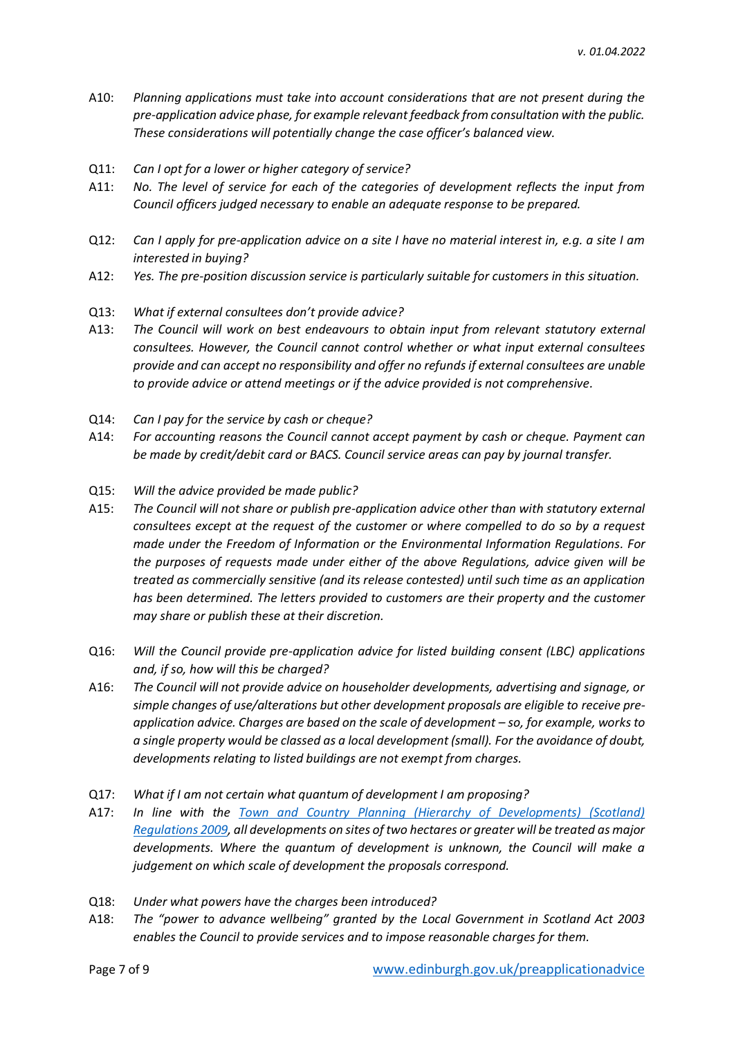- A10: *Planning applications must take into account considerations that are not present during the pre-application advice phase, for example relevant feedback from consultation with the public. These considerations will potentially change the case officer's balanced view.*
- Q11: *Can I opt for a lower or higher category of service?*
- A11: *No. The level of service for each of the categories of development reflects the input from Council officers judged necessary to enable an adequate response to be prepared.*
- Q12: *Can I apply for pre-application advice on a site I have no material interest in, e.g. a site I am interested in buying?*
- A12: *Yes. The pre-position discussion service is particularly suitable for customers in this situation.*
- Q13: *What if external consultees don't provide advice?*
- A13: *The Council will work on best endeavours to obtain input from relevant statutory external consultees. However, the Council cannot control whether or what input external consultees provide and can accept no responsibility and offer no refundsif external consultees are unable to provide advice or attend meetings or if the advice provided is not comprehensive.*
- Q14: *Can I pay for the service by cash or cheque?*
- A14: *For accounting reasons the Council cannot accept payment by cash or cheque. Payment can be made by credit/debit card or BACS. Council service areas can pay by journal transfer.*
- Q15: *Will the advice provided be made public?*
- A15: *The Council will not share or publish pre-application advice other than with statutory external consultees except at the request of the customer or where compelled to do so by a request made under the Freedom of Information or the Environmental Information Regulations. For the purposes of requests made under either of the above Regulations, advice given will be treated as commercially sensitive (and its release contested) until such time as an application has been determined. The letters provided to customers are their property and the customer may share or publish these at their discretion.*
- Q16: *Will the Council provide pre-application advice for listed building consent (LBC) applications and, if so, how will this be charged?*
- A16: *The Council will not provide advice on householder developments, advertising and signage, or simple changes of use/alterations but other development proposals are eligible to receive preapplication advice. Charges are based on the scale of development – so, for example, works to a single property would be classed as a local development (small). For the avoidance of doubt, developments relating to listed buildings are not exempt from charges.*
- Q17: *What if I am not certain what quantum of development I am proposing?*
- A17: *In line with the [Town and Country Planning \(Hierarchy of Developments\) \(Scotland\)](https://www.legislation.gov.uk/sdsi/2009/9780111001714/contents)  [Regulations 2009,](https://www.legislation.gov.uk/sdsi/2009/9780111001714/contents) all developments on sites of two hectares or greater will be treated as major developments. Where the quantum of development is unknown, the Council will make a judgement on which scale of development the proposals correspond.*
- Q18: *Under what powers have the charges been introduced?*
- A18: *The "power to advance wellbeing" granted by the Local Government in Scotland Act 2003 enables the Council to provide services and to impose reasonable charges for them.*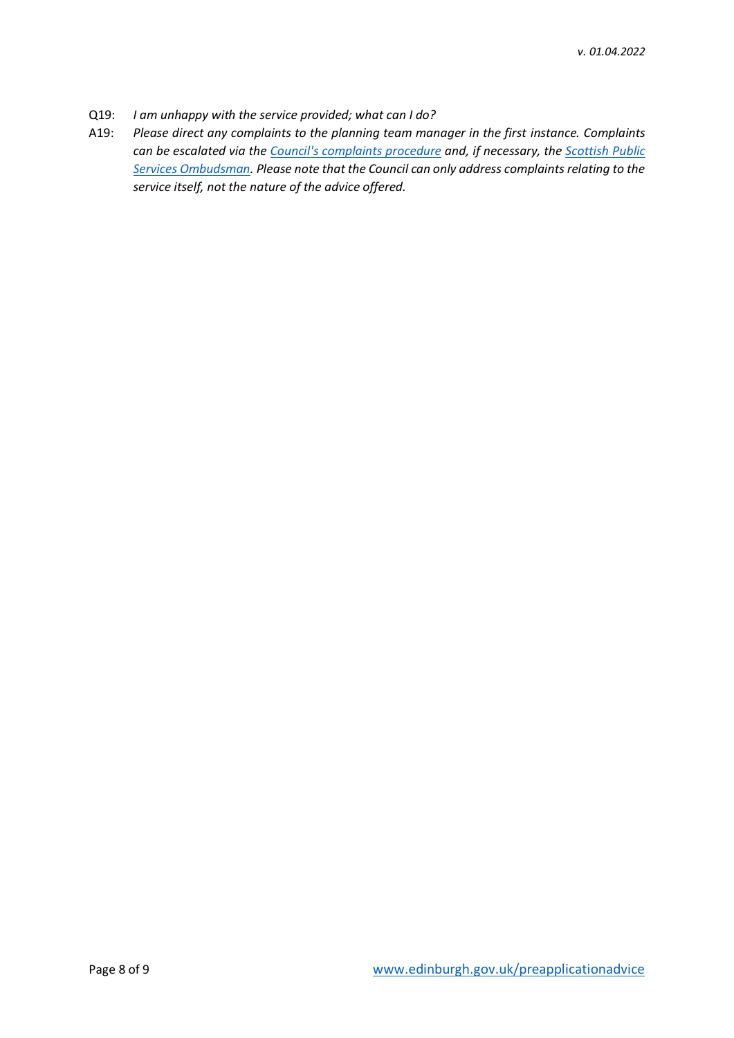- Q19: *I am unhappy with the service provided; what can I do?*
- A19: *Please direct any complaints to the planning team manager in the first instance. Complaints can be escalated via the Council's [complaints procedure](http://www.edinburgh.gov.uk/info/20004/council_and_democracy/1340/our_complaints_procedure) and, if necessary, the [Scottish Public](https://www.spso.org.uk/)  [Services Ombudsman.](https://www.spso.org.uk/) Please note that the Council can only address complaints relating to the service itself, not the nature of the advice offered.*